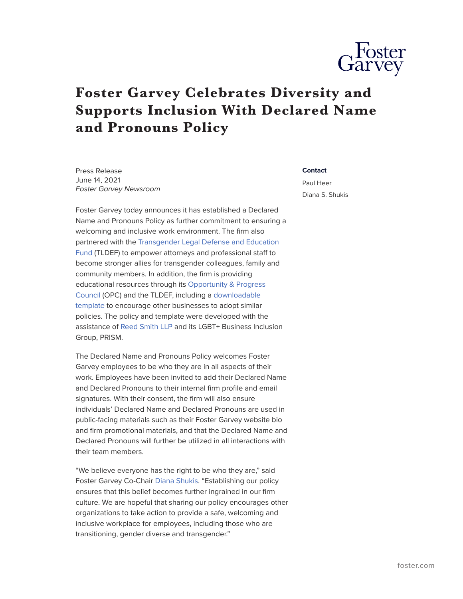

## **Foster Garvey Celebrates Diversity and Supports Inclusion With Declared Name and Pronouns Policy**

Press Release June 14, 2021 *Foster Garvey Newsroom* **Contact**

Paul Heer Diana S. Shukis

Foster Garvey today announces it has established a Declared Name and Pronouns Policy as further commitment to ensuring a welcoming and inclusive work environment. The firm also partnered with the [Transgender Legal Defense and Education](https://transgenderlegal.org/) [Fund](https://transgenderlegal.org/) (TLDEF) to empower attorneys and professional staff to become stronger allies for transgender colleagues, family and community members. In addition, the firm is providing educational resources through its [Opportunity & Progress](https://www.foster.com/ourfirm-diversity-opportunity) [Council](https://www.foster.com/ourfirm-diversity-opportunity) (OPC) and the TLDEF, including a [downloadable](https://www.foster.com/declared-name-and-declared-pronouns-policy-template) [template](https://www.foster.com/declared-name-and-declared-pronouns-policy-template) to encourage other businesses to adopt similar policies. The policy and template were developed with the assistance of [Reed Smith LLP](https://www.reedsmith.com/en) and its LGBT+ Business Inclusion Group, PRISM.

The Declared Name and Pronouns Policy welcomes Foster Garvey employees to be who they are in all aspects of their work. Employees have been invited to add their Declared Name and Declared Pronouns to their internal firm profile and email signatures. With their consent, the firm will also ensure individuals' Declared Name and Declared Pronouns are used in public-facing materials such as their Foster Garvey website bio and firm promotional materials, and that the Declared Name and Declared Pronouns will further be utilized in all interactions with their team members.

"We believe everyone has the right to be who they are," said Foster Garvey Co-Chair [Diana Shukis.](https://www.foster.com/people-diana-shukis) "Establishing our policy ensures that this belief becomes further ingrained in our firm culture. We are hopeful that sharing our policy encourages other organizations to take action to provide a safe, welcoming and inclusive workplace for employees, including those who are transitioning, gender diverse and transgender."